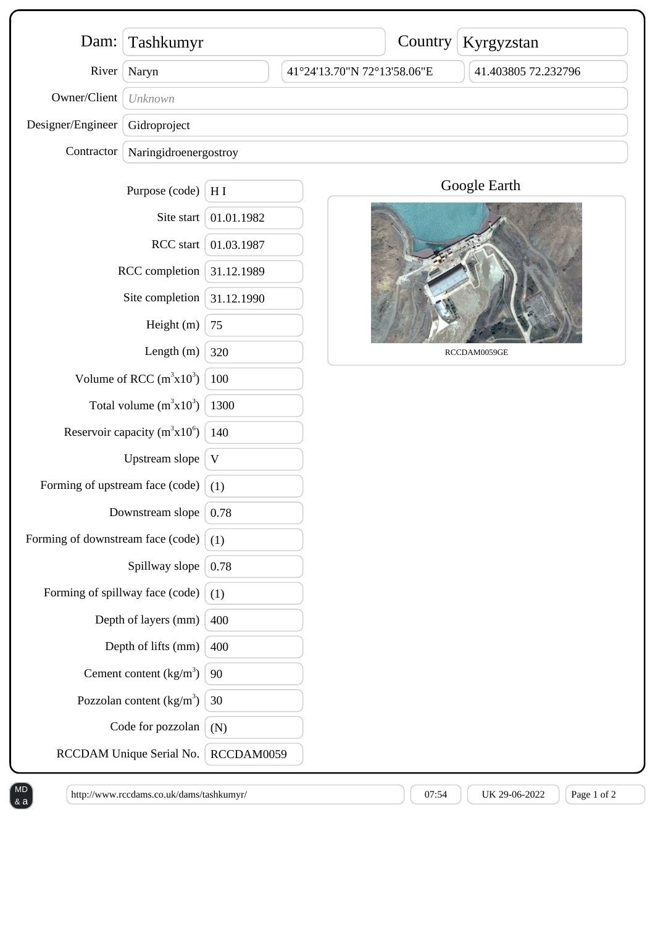| Dam:                              | Tashkumyr                |             |                             | Country | Kyrgyzstan          |
|-----------------------------------|--------------------------|-------------|-----------------------------|---------|---------------------|
| River                             | Naryn                    |             | 41°24'13.70"N 72°13'58.06"E |         | 41.403805 72.232796 |
| Owner/Client                      | Unknown                  |             |                             |         |                     |
| Designer/Engineer                 | Gidroproject             |             |                             |         |                     |
| Contractor                        | Naringidroenergostroy    |             |                             |         |                     |
|                                   | Purpose (code)           | H I         |                             |         | Google Earth        |
| Site start<br>RCC start           |                          | 01.01.1982  |                             |         |                     |
|                                   |                          | 01.03.1987  |                             |         |                     |
| RCC completion                    |                          | 31.12.1989  |                             |         |                     |
| Site completion                   |                          | 31.12.1990  |                             |         |                     |
| Height (m)                        |                          | 75          |                             |         |                     |
| Length $(m)$                      |                          | 320         |                             |         | RCCDAM0059GE        |
| Volume of RCC $(m^3x10^3)$        |                          | 100         |                             |         |                     |
| Total volume $(m^3x10^3)$         |                          | 1300        |                             |         |                     |
| Reservoir capacity $(m^3x10^6)$   |                          | 140         |                             |         |                     |
| Upstream slope                    |                          | $\mathbf V$ |                             |         |                     |
| Forming of upstream face (code)   |                          | (1)         |                             |         |                     |
| Downstream slope                  |                          | 0.78        |                             |         |                     |
| Forming of downstream face (code) |                          | (1)         |                             |         |                     |
| Spillway slope                    |                          | 0.78        |                             |         |                     |
| Forming of spillway face (code)   |                          | (1)         |                             |         |                     |
| Depth of layers (mm)              |                          | 400         |                             |         |                     |
| Depth of lifts (mm)               |                          | 400         |                             |         |                     |
|                                   | Cement content $(kg/m3)$ |             |                             |         |                     |
| Pozzolan content $(kg/m3)$        |                          | 30          |                             |         |                     |
| Code for pozzolan                 |                          | (N)         |                             |         |                     |
| RCCDAM Unique Serial No.          |                          | RCCDAM0059  |                             |         |                     |